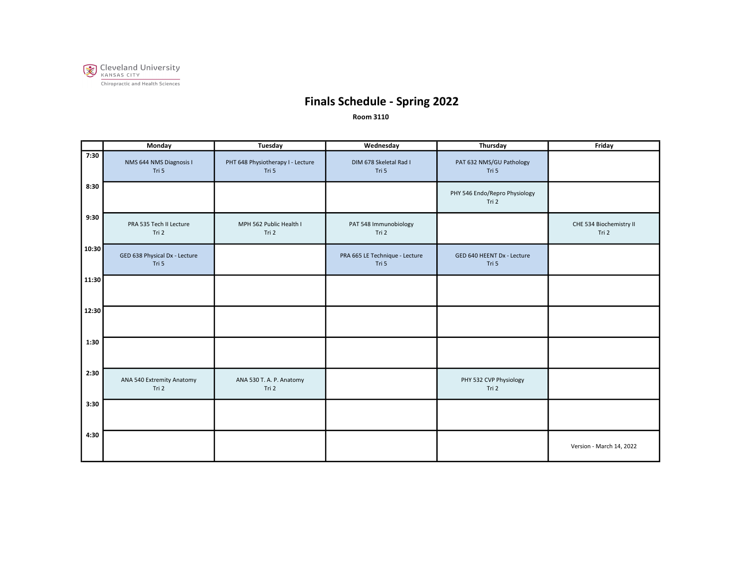

|       | <b>Monday</b>                          | Tuesday                                    | Wednesday                               | Thursday                               | Friday                           |
|-------|----------------------------------------|--------------------------------------------|-----------------------------------------|----------------------------------------|----------------------------------|
| 7:30  | NMS 644 NMS Diagnosis I<br>Tri 5       | PHT 648 Physiotherapy I - Lecture<br>Tri 5 | DIM 678 Skeletal Rad I<br>Tri 5         | PAT 632 NMS/GU Pathology<br>Tri 5      |                                  |
| 8:30  |                                        |                                            |                                         | PHY 546 Endo/Repro Physiology<br>Tri 2 |                                  |
| 9:30  | PRA 535 Tech II Lecture<br>Tri 2       | MPH 562 Public Health I<br>Tri 2           | PAT 548 Immunobiology<br>Tri 2          |                                        | CHE 534 Biochemistry II<br>Tri 2 |
| 10:30 | GED 638 Physical Dx - Lecture<br>Tri 5 |                                            | PRA 665 LE Technique - Lecture<br>Tri 5 | GED 640 HEENT Dx - Lecture<br>Tri 5    |                                  |
| 11:30 |                                        |                                            |                                         |                                        |                                  |
| 12:30 |                                        |                                            |                                         |                                        |                                  |
| 1:30  |                                        |                                            |                                         |                                        |                                  |
| 2:30  | ANA 540 Extremity Anatomy<br>Tri 2     | ANA 530 T. A. P. Anatomy<br>Tri 2          |                                         | PHY 532 CVP Physiology<br>Tri 2        |                                  |
| 3:30  |                                        |                                            |                                         |                                        |                                  |
| 4:30  |                                        |                                            |                                         |                                        | Version - March 14, 2022         |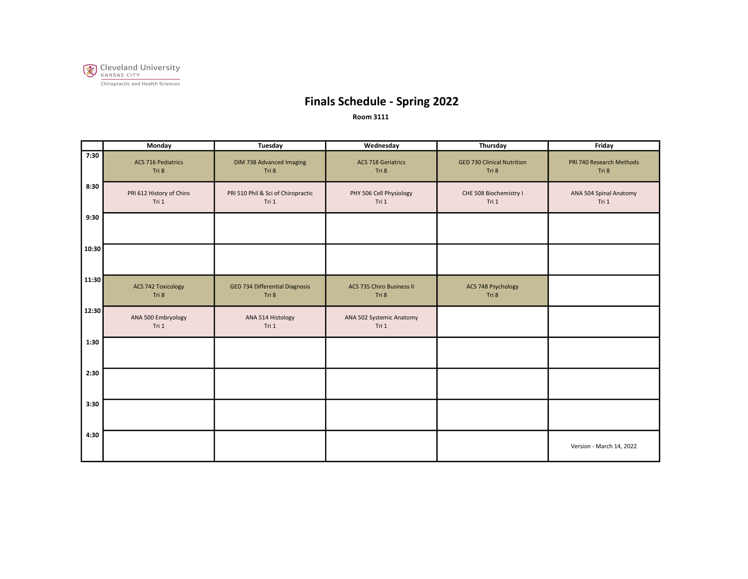

|       | <b>Monday</b>                      | Tuesday                                        | Wednesday                                 | Thursday                                   | Friday                            |
|-------|------------------------------------|------------------------------------------------|-------------------------------------------|--------------------------------------------|-----------------------------------|
| 7:30  | <b>ACS 716 Pediatrics</b><br>Tri 8 | DIM 738 Advanced Imaging<br>Tri 8              | <b>ACS 718 Geriatrics</b><br>Tri 8        | <b>GED 730 Clinical Nutrition</b><br>Tri 8 | PRI 740 Research Methods<br>Tri 8 |
| 8:30  | PRI 612 History of Chiro<br>Tri 1  | PRI 510 Phil & Sci of Chiropractic<br>Tri 1    | PHY 506 Cell Physiology<br>Tri 1          | CHE 508 Biochemistry I<br>Tri 1            | ANA 504 Spinal Anatomy<br>Tri 1   |
| 9:30  |                                    |                                                |                                           |                                            |                                   |
| 10:30 |                                    |                                                |                                           |                                            |                                   |
| 11:30 | <b>ACS 742 Toxicology</b><br>Tri 8 | <b>GED 734 Differential Diagnosis</b><br>Tri 8 | <b>ACS 735 Chiro Business II</b><br>Tri 8 | ACS 748 Psychology<br>Tri 8                |                                   |
| 12:30 | ANA 500 Embryology<br>Tri 1        | ANA 514 Histology<br>Tri 1                     | ANA 502 Systemic Anatomy<br>Tri 1         |                                            |                                   |
| 1:30  |                                    |                                                |                                           |                                            |                                   |
| 2:30  |                                    |                                                |                                           |                                            |                                   |
| 3:30  |                                    |                                                |                                           |                                            |                                   |
| 4:30  |                                    |                                                |                                           |                                            | Version - March 14, 2022          |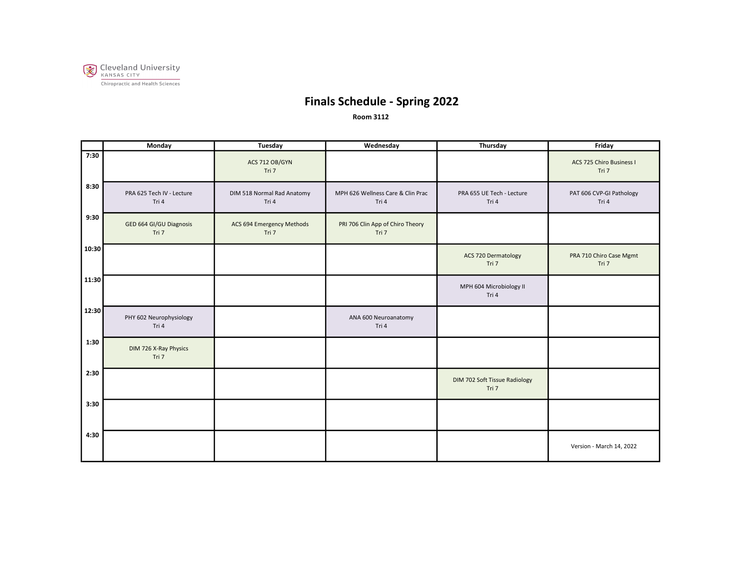

|       | Monday                             | Tuesday                             | Wednesday                                  | Thursday                               | Friday                            |
|-------|------------------------------------|-------------------------------------|--------------------------------------------|----------------------------------------|-----------------------------------|
| 7:30  |                                    | ACS 712 OB/GYN<br>Tri 7             |                                            |                                        | ACS 725 Chiro Business I<br>Tri 7 |
| 8:30  | PRA 625 Tech IV - Lecture<br>Tri 4 | DIM 518 Normal Rad Anatomy<br>Tri 4 | MPH 626 Wellness Care & Clin Prac<br>Tri 4 | PRA 655 UE Tech - Lecture<br>Tri 4     | PAT 606 CVP-GI Pathology<br>Tri 4 |
| 9:30  | GED 664 GI/GU Diagnosis<br>Tri 7   | ACS 694 Emergency Methods<br>Tri 7  | PRI 706 Clin App of Chiro Theory<br>Tri 7  |                                        |                                   |
| 10:30 |                                    |                                     |                                            | ACS 720 Dermatology<br>Tri 7           | PRA 710 Chiro Case Mgmt<br>Tri 7  |
| 11:30 |                                    |                                     |                                            | MPH 604 Microbiology II<br>Tri 4       |                                   |
| 12:30 | PHY 602 Neurophysiology<br>Tri 4   |                                     | ANA 600 Neuroanatomy<br>Tri 4              |                                        |                                   |
| 1:30  | DIM 726 X-Ray Physics<br>Tri 7     |                                     |                                            |                                        |                                   |
| 2:30  |                                    |                                     |                                            | DIM 702 Soft Tissue Radiology<br>Tri 7 |                                   |
| 3:30  |                                    |                                     |                                            |                                        |                                   |
| 4:30  |                                    |                                     |                                            |                                        | Version - March 14, 2022          |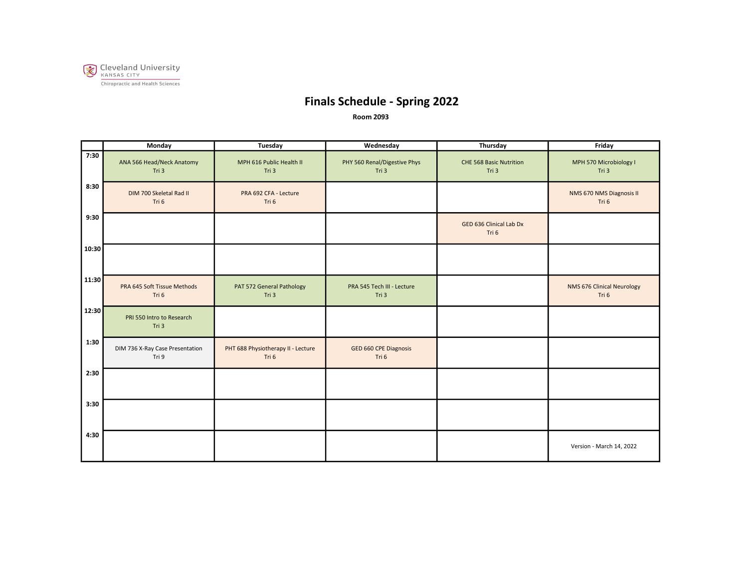

|       | Monday                                   | <b>Tuesday</b>                              | Wednesday                             | Thursday                                | Friday                              |
|-------|------------------------------------------|---------------------------------------------|---------------------------------------|-----------------------------------------|-------------------------------------|
| 7:30  | ANA 566 Head/Neck Anatomy<br>Tri 3       | MPH 616 Public Health II<br>Tri 3           | PHY 560 Renal/Digestive Phys<br>Tri 3 | <b>CHE 568 Basic Nutrition</b><br>Tri 3 | MPH 570 Microbiology I<br>Tri 3     |
| 8:30  | DIM 700 Skeletal Rad II<br>Tri 6         | PRA 692 CFA - Lecture<br>Tri 6              |                                       |                                         | NMS 670 NMS Diagnosis II<br>Tri 6   |
| 9:30  |                                          |                                             |                                       | GED 636 Clinical Lab Dx<br>Tri 6        |                                     |
| 10:30 |                                          |                                             |                                       |                                         |                                     |
| 11:30 | PRA 645 Soft Tissue Methods<br>Tri 6     | PAT 572 General Pathology<br>Tri 3          | PRA 545 Tech III - Lecture<br>Tri 3   |                                         | NMS 676 Clinical Neurology<br>Tri 6 |
| 12:30 | PRI 550 Intro to Research<br>Tri 3       |                                             |                                       |                                         |                                     |
| 1:30  | DIM 736 X-Ray Case Presentation<br>Tri 9 | PHT 688 Physiotherapy II - Lecture<br>Tri 6 | GED 660 CPE Diagnosis<br>Tri 6        |                                         |                                     |
| 2:30  |                                          |                                             |                                       |                                         |                                     |
| 3:30  |                                          |                                             |                                       |                                         |                                     |
| 4:30  |                                          |                                             |                                       |                                         | Version - March 14, 2022            |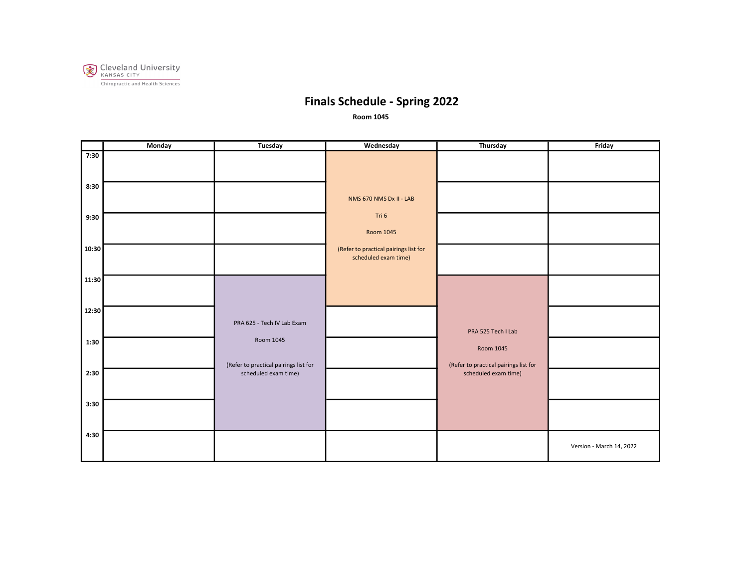

|       | Monday | Tuesday                                            | Wednesday                                                     | Thursday                                           | Friday                   |
|-------|--------|----------------------------------------------------|---------------------------------------------------------------|----------------------------------------------------|--------------------------|
| 7:30  |        |                                                    |                                                               |                                                    |                          |
| 8:30  |        |                                                    | NMS 670 NMS Dx II - LAB                                       |                                                    |                          |
| 9:30  |        |                                                    | Tri 6<br>Room 1045                                            |                                                    |                          |
| 10:30 |        |                                                    | (Refer to practical pairings list for<br>scheduled exam time) |                                                    |                          |
| 11:30 |        |                                                    |                                                               |                                                    |                          |
| 12:30 |        | PRA 625 - Tech IV Lab Exam                         |                                                               | PRA 525 Tech I Lab                                 |                          |
| 1:30  |        | Room 1045<br>(Refer to practical pairings list for |                                                               | Room 1045<br>(Refer to practical pairings list for |                          |
| 2:30  |        | scheduled exam time)                               |                                                               | scheduled exam time)                               |                          |
| 3:30  |        |                                                    |                                                               |                                                    |                          |
| 4:30  |        |                                                    |                                                               |                                                    | Version - March 14, 2022 |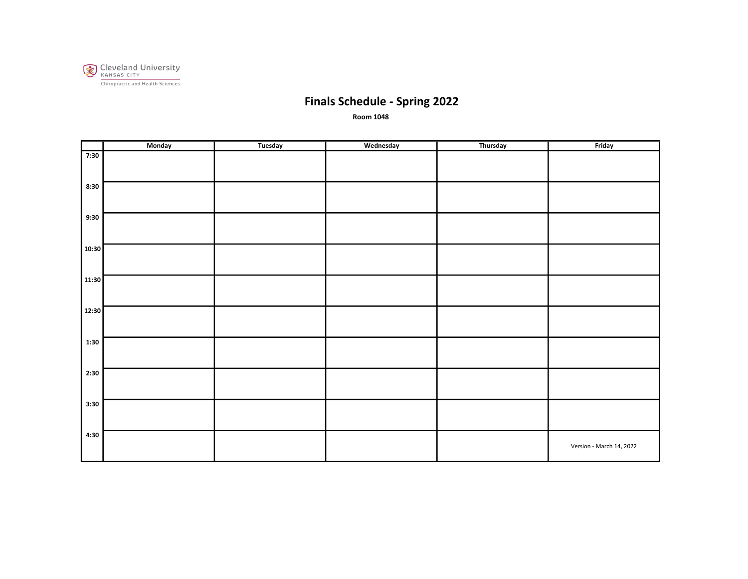

|       | Monday | Tuesday | Wednesday | Thursday | Friday                   |
|-------|--------|---------|-----------|----------|--------------------------|
| 7:30  |        |         |           |          |                          |
| 8:30  |        |         |           |          |                          |
| 9:30  |        |         |           |          |                          |
| 10:30 |        |         |           |          |                          |
| 11:30 |        |         |           |          |                          |
| 12:30 |        |         |           |          |                          |
| 1:30  |        |         |           |          |                          |
| 2:30  |        |         |           |          |                          |
| 3:30  |        |         |           |          |                          |
| 4:30  |        |         |           |          | Version - March 14, 2022 |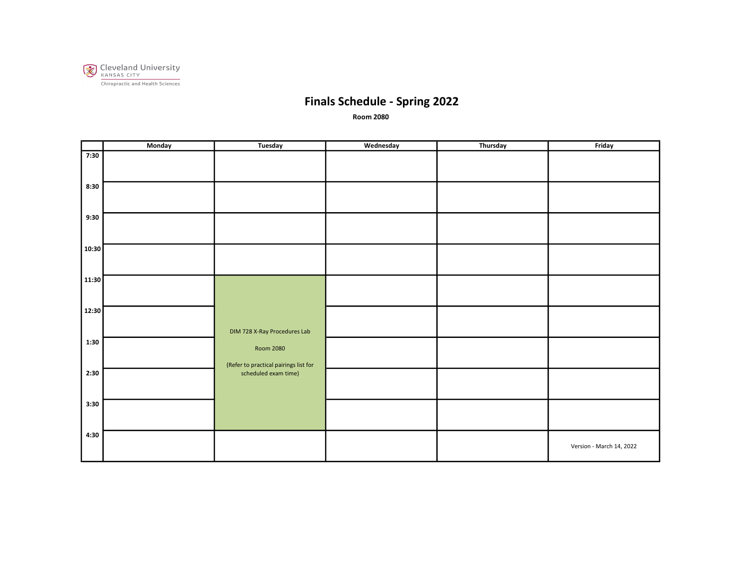

|       | Monday | Tuesday                                                   | Wednesday | Thursday | Friday                   |
|-------|--------|-----------------------------------------------------------|-----------|----------|--------------------------|
| 7:30  |        |                                                           |           |          |                          |
| 8:30  |        |                                                           |           |          |                          |
|       |        |                                                           |           |          |                          |
| 9:30  |        |                                                           |           |          |                          |
|       |        |                                                           |           |          |                          |
| 10:30 |        |                                                           |           |          |                          |
| 11:30 |        |                                                           |           |          |                          |
|       |        |                                                           |           |          |                          |
| 12:30 |        |                                                           |           |          |                          |
| 1:30  |        | DIM 728 X-Ray Procedures Lab                              |           |          |                          |
|       |        | <b>Room 2080</b><br>(Refer to practical pairings list for |           |          |                          |
| 2:30  |        | scheduled exam time)                                      |           |          |                          |
|       |        |                                                           |           |          |                          |
| 3:30  |        |                                                           |           |          |                          |
| 4:30  |        |                                                           |           |          | Version - March 14, 2022 |
|       |        |                                                           |           |          |                          |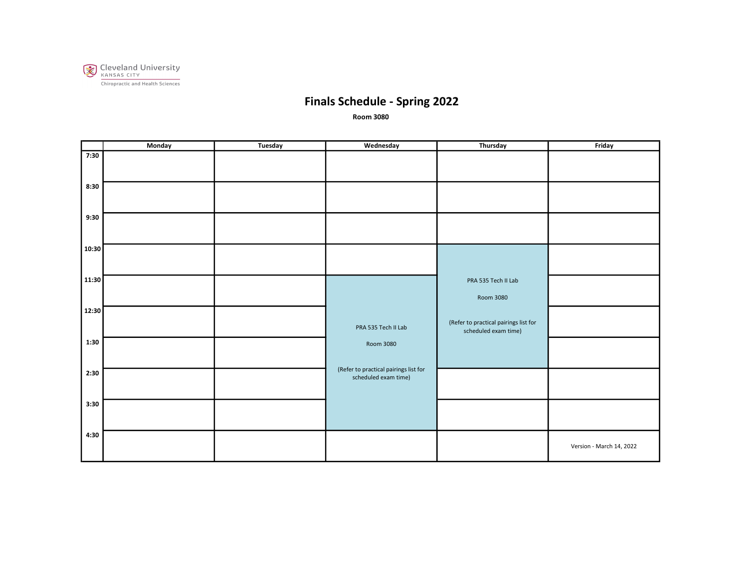

|       | Monday | Tuesday | Wednesday                                                     | Thursday                                                      | Friday                   |
|-------|--------|---------|---------------------------------------------------------------|---------------------------------------------------------------|--------------------------|
| 7:30  |        |         |                                                               |                                                               |                          |
| 8:30  |        |         |                                                               |                                                               |                          |
| 9:30  |        |         |                                                               |                                                               |                          |
| 10:30 |        |         |                                                               |                                                               |                          |
| 11:30 |        |         |                                                               | PRA 535 Tech II Lab<br>Room 3080                              |                          |
| 12:30 |        |         | PRA 535 Tech II Lab                                           | (Refer to practical pairings list for<br>scheduled exam time) |                          |
| 1:30  |        |         | Room 3080                                                     |                                                               |                          |
| 2:30  |        |         | (Refer to practical pairings list for<br>scheduled exam time) |                                                               |                          |
| 3:30  |        |         |                                                               |                                                               |                          |
| 4:30  |        |         |                                                               |                                                               | Version - March 14, 2022 |